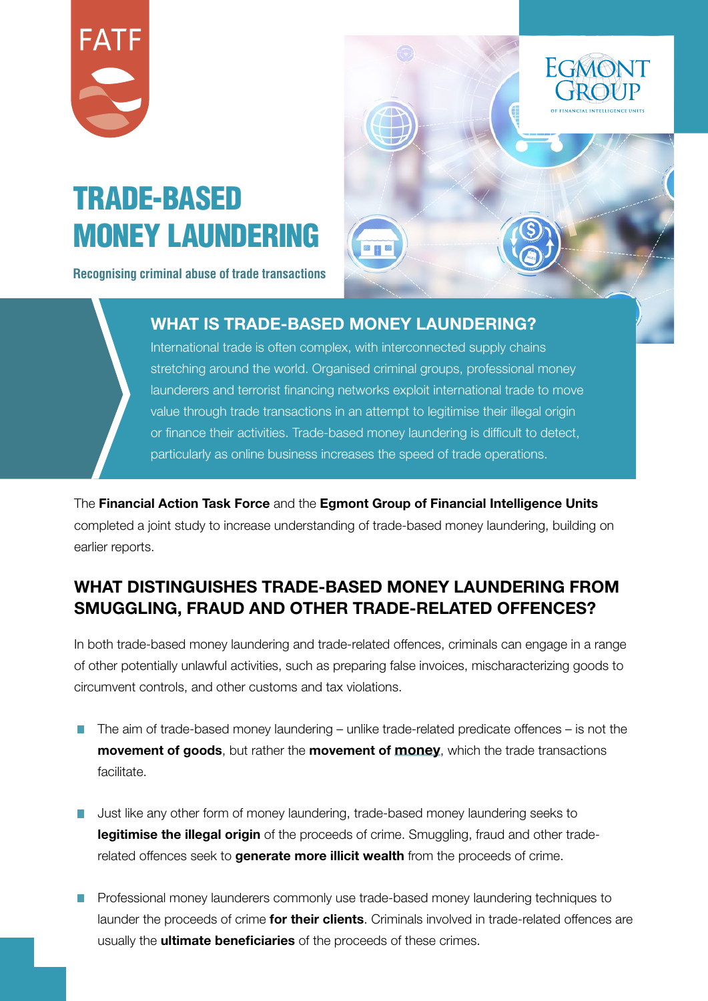

# TRADE-BASED MONEY LAUNDERING

**Recognising criminal abuse of trade transactions**



#### WHAT IS TRADE-BASED MONEY LAUNDERING?

International trade is often complex, with interconnected supply chains stretching around the world. Organised criminal groups, professional money launderers and terrorist financing networks exploit international trade to move value through trade transactions in an attempt to legitimise their illegal origin or finance their activities. Trade-based money laundering is difficult to detect, particularly as online business increases the speed of trade operations.

The Financial Action Task Force and the Egmont Group of Financial Intelligence Units completed a joint study to increase understanding of trade-based money laundering, building on earlier reports.

## WHAT DISTINGUISHES TRADE-BASED MONEY LAUNDERING FROM SMUGGLING, FRAUD AND OTHER TRADE-RELATED OFFENCES?

In both trade-based money laundering and trade-related offences, criminals can engage in a range of other potentially unlawful activities, such as preparing false invoices, mischaracterizing goods to circumvent controls, and other customs and tax violations.

- $\blacksquare$  The aim of trade-based money laundering unlike trade-related predicate offences is not the **movement of goods**, but rather the **movement of money**, which the trade transactions facilitate.
- Just like any other form of money laundering, trade-based money laundering seeks to legitimise the illegal origin of the proceeds of crime. Smuggling, fraud and other traderelated offences seek to **generate more illicit wealth** from the proceeds of crime.
- **Professional money launderers commonly use trade-based money laundering techniques to** launder the proceeds of crime for their clients. Criminals involved in trade-related offences are usually the **ultimate beneficiaries** of the proceeds of these crimes.